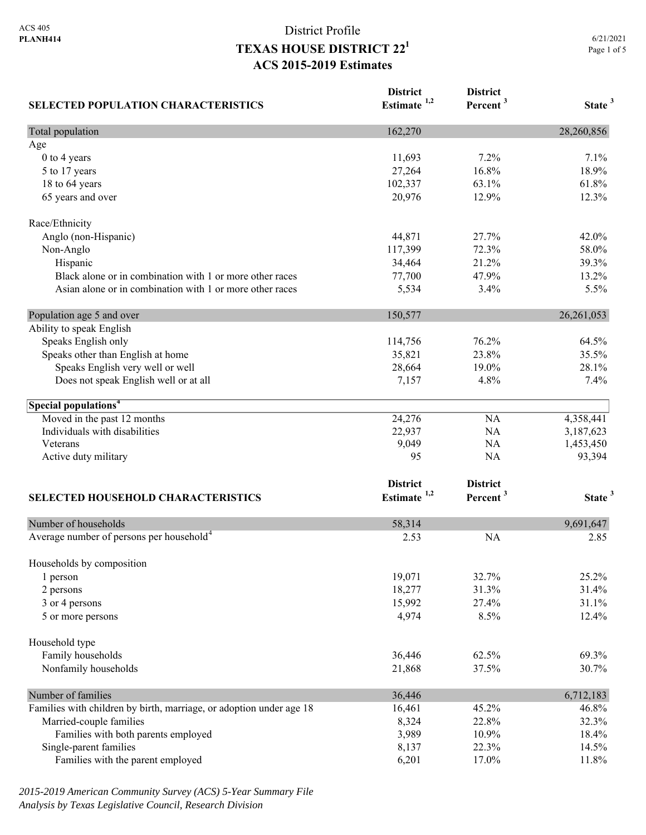# District Profile **TEXAS HOUSE DISTRICT 221 ACS 2015-2019 Estimates**

| <b>SELECTED POPULATION CHARACTERISTICS</b>                          | <b>District</b><br>Estimate <sup>1,2</sup> | <b>District</b><br>Percent <sup>3</sup> | State <sup>3</sup> |
|---------------------------------------------------------------------|--------------------------------------------|-----------------------------------------|--------------------|
| Total population                                                    | 162,270                                    |                                         | 28,260,856         |
| Age                                                                 |                                            |                                         |                    |
| 0 to 4 years                                                        | 11,693                                     | 7.2%                                    | 7.1%               |
| 5 to 17 years                                                       | 27,264                                     | 16.8%                                   | 18.9%              |
| 18 to 64 years                                                      | 102,337                                    | 63.1%                                   | 61.8%              |
| 65 years and over                                                   | 20,976                                     | 12.9%                                   | 12.3%              |
| Race/Ethnicity                                                      |                                            |                                         |                    |
| Anglo (non-Hispanic)                                                | 44,871                                     | 27.7%                                   | 42.0%              |
| Non-Anglo                                                           | 117,399                                    | 72.3%                                   | 58.0%              |
| Hispanic                                                            | 34,464                                     | 21.2%                                   | 39.3%              |
| Black alone or in combination with 1 or more other races            | 77,700                                     | 47.9%                                   | 13.2%              |
| Asian alone or in combination with 1 or more other races            | 5,534                                      | 3.4%                                    | 5.5%               |
| Population age 5 and over                                           | 150,577                                    |                                         | 26, 261, 053       |
| Ability to speak English                                            |                                            |                                         |                    |
| Speaks English only                                                 | 114,756                                    | 76.2%                                   | 64.5%              |
| Speaks other than English at home                                   | 35,821                                     | 23.8%                                   | 35.5%              |
| Speaks English very well or well                                    | 28,664                                     | 19.0%                                   | 28.1%              |
| Does not speak English well or at all                               | 7,157                                      | 4.8%                                    | 7.4%               |
| Special populations <sup>4</sup>                                    |                                            |                                         |                    |
| Moved in the past 12 months                                         | 24,276                                     | NA                                      | 4,358,441          |
| Individuals with disabilities                                       | 22,937                                     | NA                                      | 3,187,623          |
| Veterans                                                            | 9,049                                      | NA                                      | 1,453,450          |
| Active duty military                                                | 95                                         | NA                                      | 93,394             |
|                                                                     | <b>District</b>                            | <b>District</b>                         |                    |
| <b>SELECTED HOUSEHOLD CHARACTERISTICS</b>                           | Estimate <sup>1,2</sup>                    | Percent <sup>3</sup>                    | State <sup>3</sup> |
| Number of households                                                | 58,314                                     |                                         | 9,691,647          |
| Average number of persons per household <sup>4</sup>                | 2.53                                       | <b>NA</b>                               | 2.85               |
|                                                                     |                                            |                                         |                    |
| Households by composition<br>1 person                               | 19,071                                     | 32.7%                                   | 25.2%              |
| 2 persons                                                           | 18,277                                     | 31.3%                                   | 31.4%              |
| 3 or 4 persons                                                      | 15,992                                     | 27.4%                                   | 31.1%              |
| 5 or more persons                                                   | 4,974                                      | 8.5%                                    | 12.4%              |
| Household type                                                      |                                            |                                         |                    |
| Family households                                                   | 36,446                                     | 62.5%                                   | 69.3%              |
| Nonfamily households                                                | 21,868                                     | 37.5%                                   | 30.7%              |
|                                                                     |                                            |                                         |                    |
| Number of families                                                  | 36,446                                     |                                         | 6,712,183          |
| Families with children by birth, marriage, or adoption under age 18 | 16,461                                     | 45.2%                                   | 46.8%              |
| Married-couple families                                             | 8,324                                      | 22.8%                                   | 32.3%              |
| Families with both parents employed                                 | 3,989                                      | 10.9%                                   | 18.4%              |
| Single-parent families                                              | 8,137                                      | 22.3%                                   | 14.5%              |
| Families with the parent employed                                   | 6,201                                      | 17.0%                                   | 11.8%              |

*2015-2019 American Community Survey (ACS) 5-Year Summary File Analysis by Texas Legislative Council, Research Division*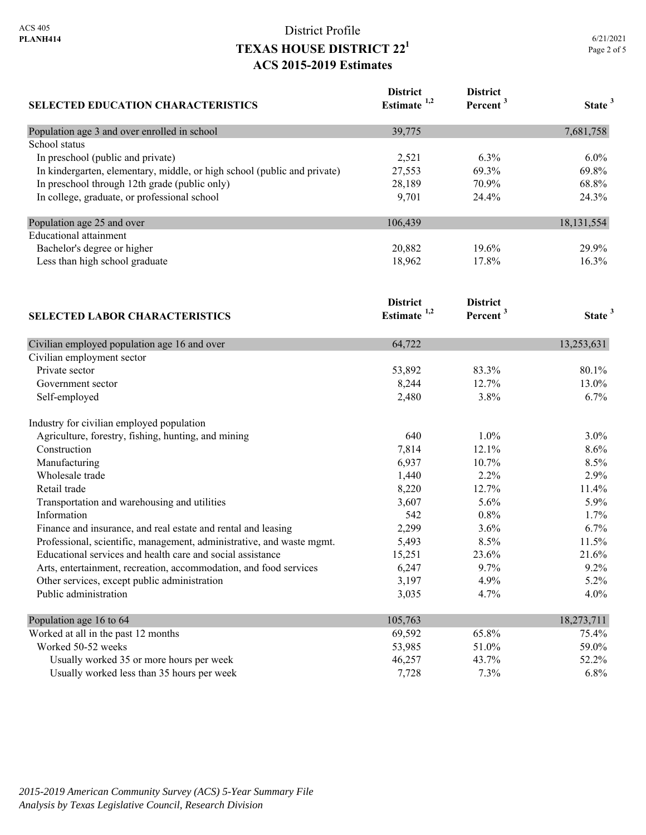# District Profile **TEXAS HOUSE DISTRICT 221 ACS 2015-2019 Estimates**

| <b>SELECTED EDUCATION CHARACTERISTICS</b>                                | <b>District</b><br>Estimate <sup>1,2</sup> | <b>District</b><br>Percent <sup>3</sup> | State <sup>3</sup> |
|--------------------------------------------------------------------------|--------------------------------------------|-----------------------------------------|--------------------|
| Population age 3 and over enrolled in school                             | 39,775                                     |                                         | 7,681,758          |
| School status                                                            |                                            |                                         |                    |
| In preschool (public and private)                                        | 2,521                                      | 6.3%                                    | $6.0\%$            |
| In kindergarten, elementary, middle, or high school (public and private) | 27,553                                     | 69.3%                                   | 69.8%              |
| In preschool through 12th grade (public only)                            | 28,189                                     | 70.9%                                   | 68.8%              |
| In college, graduate, or professional school                             | 9,701                                      | 24.4%                                   | 24.3%              |
| Population age 25 and over                                               | 106,439                                    |                                         | 18,131,554         |
| <b>Educational attainment</b>                                            |                                            |                                         |                    |
| Bachelor's degree or higher                                              | 20,882                                     | 19.6%                                   | 29.9%              |
| Less than high school graduate                                           | 18,962                                     | 17.8%                                   | 16.3%              |
|                                                                          | <b>District</b>                            | <b>District</b>                         |                    |
| <b>SELECTED LABOR CHARACTERISTICS</b>                                    | Estimate <sup>1,2</sup>                    | Percent <sup>3</sup>                    | State <sup>3</sup> |
| Civilian employed population age 16 and over                             | 64,722                                     |                                         | 13,253,631         |
| Civilian employment sector                                               |                                            |                                         |                    |
| Private sector                                                           | 53,892                                     | 83.3%                                   | 80.1%              |
| Government sector                                                        | 8,244                                      | 12.7%                                   | 13.0%              |
| Self-employed                                                            | 2,480                                      | 3.8%                                    | 6.7%               |
| Industry for civilian employed population                                |                                            |                                         |                    |
| Agriculture, forestry, fishing, hunting, and mining                      | 640                                        | 1.0%                                    | 3.0%               |
| Construction                                                             | 7,814                                      | 12.1%                                   | 8.6%               |
| Manufacturing                                                            | 6,937                                      | 10.7%                                   | 8.5%               |
| Wholesale trade                                                          | 1,440                                      | 2.2%                                    | 2.9%               |
| Retail trade                                                             | 8,220                                      | 12.7%                                   | 11.4%              |
| Transportation and warehousing and utilities                             | 3,607                                      | 5.6%                                    | 5.9%               |
| Information                                                              | 542                                        | 0.8%                                    | 1.7%               |
| Finance and insurance, and real estate and rental and leasing            | 2,299                                      | 3.6%                                    | 6.7%               |
| Professional, scientific, management, administrative, and waste mgmt.    | 5,493                                      | 8.5%                                    | 11.5%              |
| Educational services and health care and social assistance               | 15,251                                     | 23.6%                                   | 21.6%              |
| Arts, entertainment, recreation, accommodation, and food services        | 6,247                                      | 9.7%                                    | 9.2%               |
| Other services, except public administration                             | 3,197                                      | 4.9%                                    | 5.2%               |
| Public administration                                                    | 3,035                                      | 4.7%                                    | 4.0%               |
| Population age 16 to 64                                                  | 105,763                                    |                                         | 18,273,711         |
| Worked at all in the past 12 months                                      | 69,592                                     | 65.8%                                   | 75.4%              |
| Worked 50-52 weeks                                                       | 53,985                                     | 51.0%                                   | 59.0%              |
| Usually worked 35 or more hours per week                                 | 46,257                                     | 43.7%                                   | 52.2%              |
| Usually worked less than 35 hours per week                               | 7,728                                      | 7.3%                                    | 6.8%               |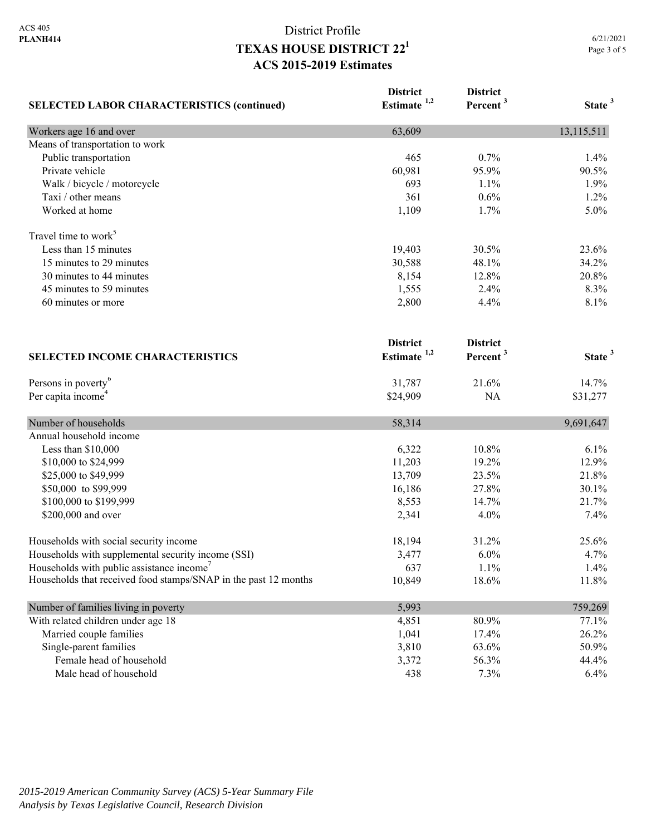# District Profile **TEXAS HOUSE DISTRICT 221 ACS 2015-2019 Estimates**

| <b>SELECTED LABOR CHARACTERISTICS (continued)</b>               | <b>District</b><br>Estimate $1,2$ | <b>District</b><br>Percent <sup>3</sup> | State <sup>3</sup> |
|-----------------------------------------------------------------|-----------------------------------|-----------------------------------------|--------------------|
|                                                                 |                                   |                                         |                    |
| Means of transportation to work                                 |                                   |                                         |                    |
| Public transportation                                           | 465                               | 0.7%                                    | 1.4%               |
| Private vehicle                                                 | 60,981                            | 95.9%                                   | 90.5%              |
| Walk / bicycle / motorcycle                                     | 693                               | 1.1%                                    | 1.9%               |
| Taxi / other means                                              | 361                               | 0.6%                                    | 1.2%               |
| Worked at home                                                  | 1,109                             | 1.7%                                    | 5.0%               |
| Travel time to work <sup>5</sup>                                |                                   |                                         |                    |
| Less than 15 minutes                                            | 19,403                            | 30.5%                                   | 23.6%              |
| 15 minutes to 29 minutes                                        | 30,588                            | 48.1%                                   | 34.2%              |
| 30 minutes to 44 minutes                                        | 8,154                             | 12.8%                                   | 20.8%              |
| 45 minutes to 59 minutes                                        | 1,555                             | 2.4%                                    | 8.3%               |
| 60 minutes or more                                              | 2,800                             | 4.4%                                    | 8.1%               |
|                                                                 | <b>District</b>                   | <b>District</b>                         |                    |
| <b>SELECTED INCOME CHARACTERISTICS</b>                          | Estimate <sup>1,2</sup>           | Percent <sup>3</sup>                    | State <sup>3</sup> |
| Persons in poverty <sup>6</sup>                                 | 31,787                            | 21.6%                                   | 14.7%              |
| Per capita income <sup>4</sup>                                  | \$24,909                          | NA                                      | \$31,277           |
| Number of households                                            | 58,314                            |                                         | 9,691,647          |
| Annual household income                                         |                                   |                                         |                    |
| Less than \$10,000                                              | 6,322                             | 10.8%                                   | 6.1%               |
| \$10,000 to \$24,999                                            | 11,203                            | 19.2%                                   | 12.9%              |
| \$25,000 to \$49,999                                            | 13,709                            | 23.5%                                   | 21.8%              |
| \$50,000 to \$99,999                                            | 16,186                            | 27.8%                                   | 30.1%              |
| \$100,000 to \$199,999                                          | 8,553                             | 14.7%                                   | 21.7%              |
| \$200,000 and over                                              | 2,341                             | 4.0%                                    | 7.4%               |
| Households with social security income                          | 18,194                            | 31.2%                                   | 25.6%              |
| Households with supplemental security income (SSI)              | 3,477                             | 6.0%                                    | 4.7%               |
| Households with public assistance income'                       | 637                               | 1.1%                                    | 1.4%               |
| Households that received food stamps/SNAP in the past 12 months | 10,849                            | 18.6%                                   | 11.8%              |
| Number of families living in poverty                            | 5,993                             |                                         | 759,269            |
| With related children under age 18                              | 4,851                             | 80.9%                                   | 77.1%              |
| Married couple families                                         | 1,041                             | 17.4%                                   | 26.2%              |
| Single-parent families                                          | 3,810                             | 63.6%                                   | 50.9%              |
| Female head of household                                        | 3,372                             | 56.3%                                   | 44.4%              |
| Male head of household                                          | 438                               | 7.3%                                    | 6.4%               |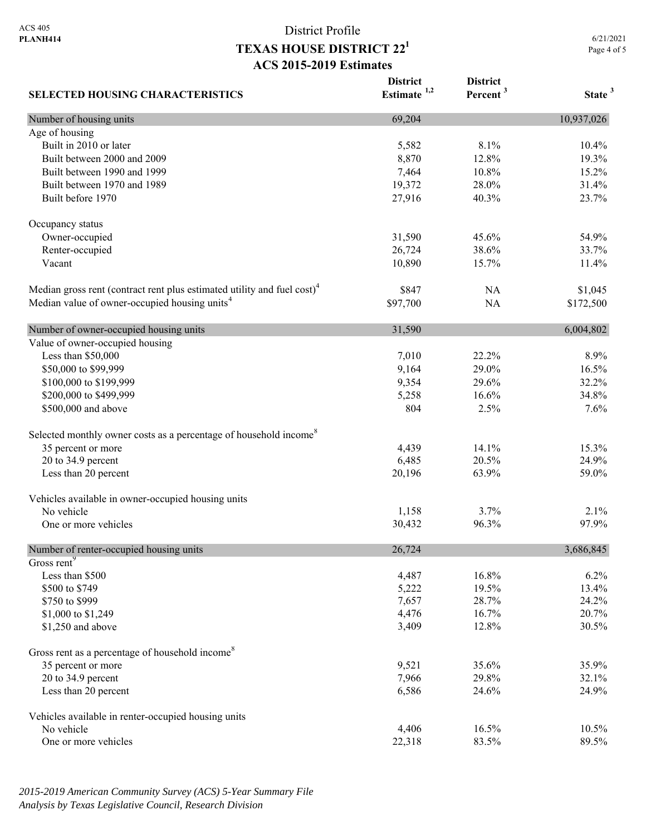**SELECTED HOUSING CHARACTERISTICS**

## District Profile **TEXAS HOUSE DISTRICT 221 ACS 2015-2019 Estimates**

**District Estimate 1,2**  **District** 

**Percent <sup>3</sup> State <sup>3</sup>**

Number of housing units 10,937,026 Age of housing Built in 2010 or later 10.4% 10.4% 10.4% 10.4% 10.4% 10.4% 10.4% 10.4% 10.5 mm Built between 2000 and 2009 19.3% 19.3% 19.3% 19.3% 19.3% 19.3% 19.3% Built between 1990 and 1999 **15.2%** 16.8% 16.8% 16.8% 16.8% 16.8% 16.8% 16.8% 16.9% 16.9% 16.9% 16.9% 16.9% 16.9% Built between 1970 and 1989 19,372 28.0% 31.4% Built before 1970 27,916 23.7% 23.7% Occupancy status Owner-occupied 31,590 45.6% 54.9% Renter-occupied 26,724 38.6% 33.7% Vacant 10,890 15.7% 11.4% Median gross rent (contract rent plus estimated utility and fuel cost)<sup>4</sup> \$847 NA \$1,045 Median value of owner-occupied housing units<sup>4</sup> 597,700 NA \$172,500 Number of owner-occupied housing units 31,590 6,004,802 Value of owner-occupied housing Less than \$50,000 8.9% 8.9% \$50,000 to \$99,999 50,000 to \$99,999 50,000 to \$99,999 16.5% \$100,000 to \$199,999 32.2% 33.2% 32.2% 32.2% 32.2% 32.2% 32.2% 32.2% 32.2% 32.2% \$200,000 to \$499,999 34.8% 36.258 36.258 34.8% \$500,000 and above 304 2.5% 7.6% 7.6% Selected monthly owner costs as a percentage of household income<sup>8</sup> 35 percent or more 15.3% 14.1% 15.3% 20 to 34.9 percent 6,485 20.5% 24.9% Less than 20 percent 20,196 63.9% 59.0% 59.0% Vehicles available in owner-occupied housing units No vehicle  $1,158$   $3.7\%$   $2.1\%$  One or more vehicles 30,432 96.3% 97.9% Number of renter-occupied housing units 26,724 3,686,845 Gross rent<sup>9</sup> Less than \$500 4,487 16.8% 6.2% \$500 to \$749 5,222 19.5% 13.4%  $\frac{$750 \text{ to } $999} \times 24.2\%$ \$1,000 to \$1,249 4,476 4,476 16.7% 20.7% \$1,250 and above 3,409 12.8% 30.5% 30.5% Gross rent as a percentage of household income<sup>8</sup> 35 percent or more 35.9% 35.9% 35.9% 20 to 34.9 percent 32.1% 32.1% Less than 20 percent 24.9% 24.9% 24.9% 26.586 24.6% 24.9% Vehicles available in renter-occupied housing units No vehicle 10.5% 10.5% 10.5% 10.5% 10.5% 10.5% 10.5% 10.5% 10.5% 10.5% 10.5% 10.5% 10.5% 10.5% 10.5% 10.5% 10.5% One or more vehicles 89.5% 89.5% 89.5%